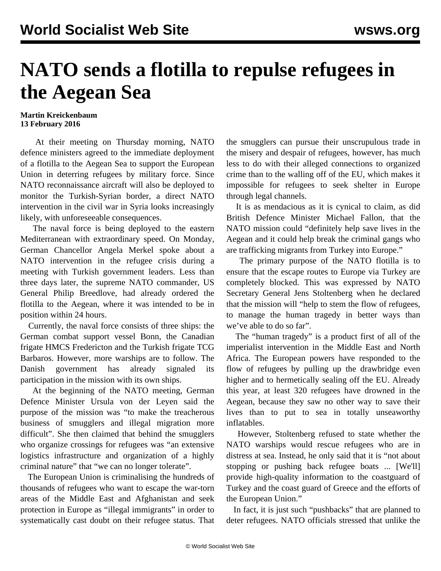## **NATO sends a flotilla to repulse refugees in the Aegean Sea**

## **Martin Kreickenbaum 13 February 2016**

 At their meeting on Thursday morning, NATO defence ministers agreed to the immediate deployment of a flotilla to the Aegean Sea to support the European Union in deterring refugees by military force. Since NATO reconnaissance aircraft will also be deployed to monitor the Turkish-Syrian border, a direct NATO intervention in the civil war in Syria looks increasingly likely, with unforeseeable consequences.

 The naval force is being deployed to the eastern Mediterranean with extraordinary speed. On Monday, German Chancellor Angela Merkel spoke about a NATO intervention in the refugee crisis during a meeting with Turkish government leaders. Less than three days later, the supreme NATO commander, US General Philip Breedlove, had already ordered the flotilla to the Aegean, where it was intended to be in position within 24 hours.

 Currently, the naval force consists of three ships: the German combat support vessel Bonn, the Canadian frigate HMCS Fredericton and the Turkish frigate TCG Barbaros. However, more warships are to follow. The Danish government has already signaled its participation in the mission with its own ships.

 At the beginning of the NATO meeting, German Defence Minister Ursula von der Leyen said the purpose of the mission was "to make the treacherous business of smugglers and illegal migration more difficult". She then claimed that behind the smugglers who organize crossings for refugees was "an extensive logistics infrastructure and organization of a highly criminal nature" that "we can no longer tolerate".

 The European Union is criminalising the hundreds of thousands of refugees who want to escape the war-torn areas of the Middle East and Afghanistan and seek protection in Europe as "illegal immigrants" in order to systematically cast doubt on their refugee status. That the smugglers can pursue their unscrupulous trade in the misery and despair of refugees, however, has much less to do with their alleged connections to organized crime than to the walling off of the EU, which makes it impossible for refugees to seek shelter in Europe through legal channels.

 It is as mendacious as it is cynical to claim, as did British Defence Minister Michael Fallon, that the NATO mission could "definitely help save lives in the Aegean and it could help break the criminal gangs who are trafficking migrants from Turkey into Europe."

 The primary purpose of the NATO flotilla is to ensure that the escape routes to Europe via Turkey are completely blocked. This was expressed by NATO Secretary General Jens Stoltenberg when he declared that the mission will "help to stem the flow of refugees, to manage the human tragedy in better ways than we've able to do so far".

 The "human tragedy" is a product first of all of the imperialist intervention in the Middle East and North Africa. The European powers have responded to the flow of refugees by pulling up the drawbridge even higher and to hermetically sealing off the EU. Already this year, at least 320 refugees have drowned in the Aegean, because they saw no other way to save their lives than to put to sea in totally unseaworthy inflatables.

 However, Stoltenberg refused to state whether the NATO warships would rescue refugees who are in distress at sea. Instead, he only said that it is "not about stopping or pushing back refugee boats ... [We'll] provide high-quality information to the coastguard of Turkey and the coast guard of Greece and the efforts of the European Union."

 In fact, it is just such "pushbacks" that are planned to deter refugees. NATO officials stressed that unlike the